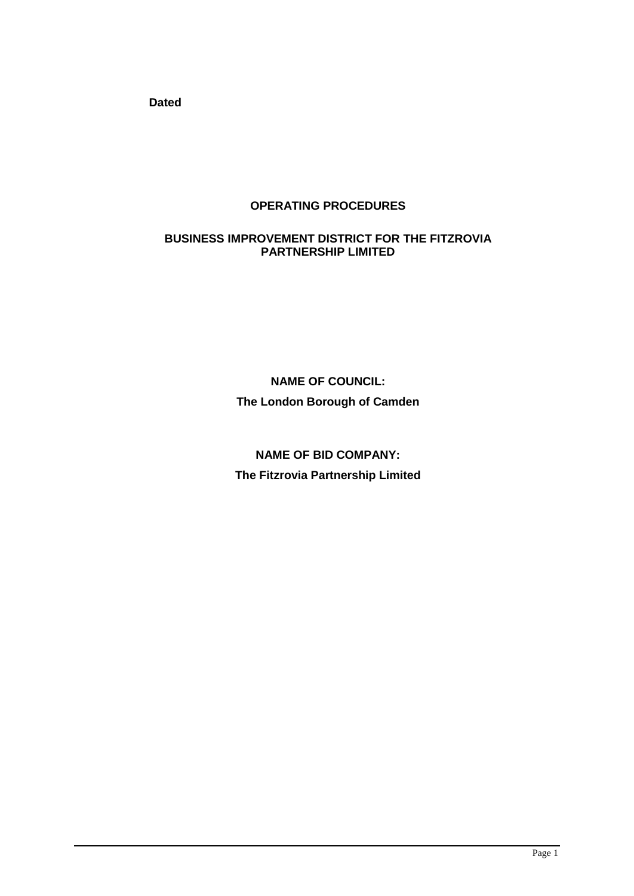**Dated**

# **OPERATING PROCEDURES**

### **BUSINESS IMPROVEMENT DISTRICT FOR THE FITZROVIA PARTNERSHIP LIMITED**

**NAME OF COUNCIL: The London Borough of Camden**

**NAME OF BID COMPANY: The Fitzrovia Partnership Limited**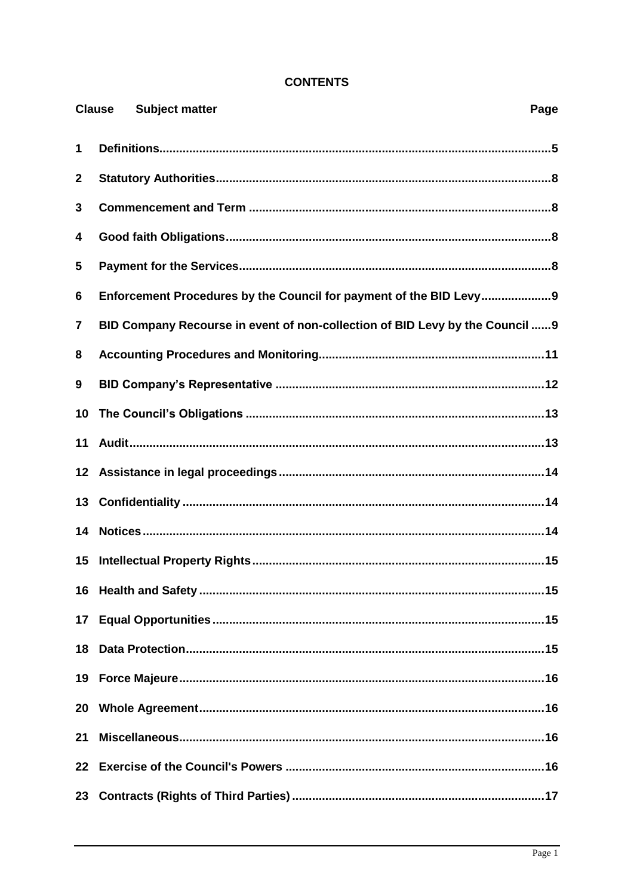# **CONTENTS**

|                 | <b>Clause</b> | <b>Subject matter</b>                                                        | Page |
|-----------------|---------------|------------------------------------------------------------------------------|------|
| 1               |               |                                                                              |      |
| $\mathbf{2}$    |               |                                                                              |      |
| 3               |               |                                                                              |      |
| 4               |               |                                                                              |      |
| 5               |               |                                                                              |      |
| 6               |               | Enforcement Procedures by the Council for payment of the BID Levy 9          |      |
| 7               |               | BID Company Recourse in event of non-collection of BID Levy by the Council 9 |      |
| 8               |               |                                                                              |      |
| 9               |               |                                                                              |      |
| 10              |               |                                                                              |      |
| 11              |               |                                                                              |      |
| 12 <sub>2</sub> |               |                                                                              |      |
| 13              |               |                                                                              |      |
| 14              |               |                                                                              |      |
| 15              |               |                                                                              |      |
|                 |               |                                                                              |      |
| 17 <sub>1</sub> |               |                                                                              |      |
| 18              |               |                                                                              |      |
| 19              |               |                                                                              |      |
| 20              |               |                                                                              |      |
| 21              |               |                                                                              |      |
| $22 \,$         |               |                                                                              |      |
| 23              |               |                                                                              |      |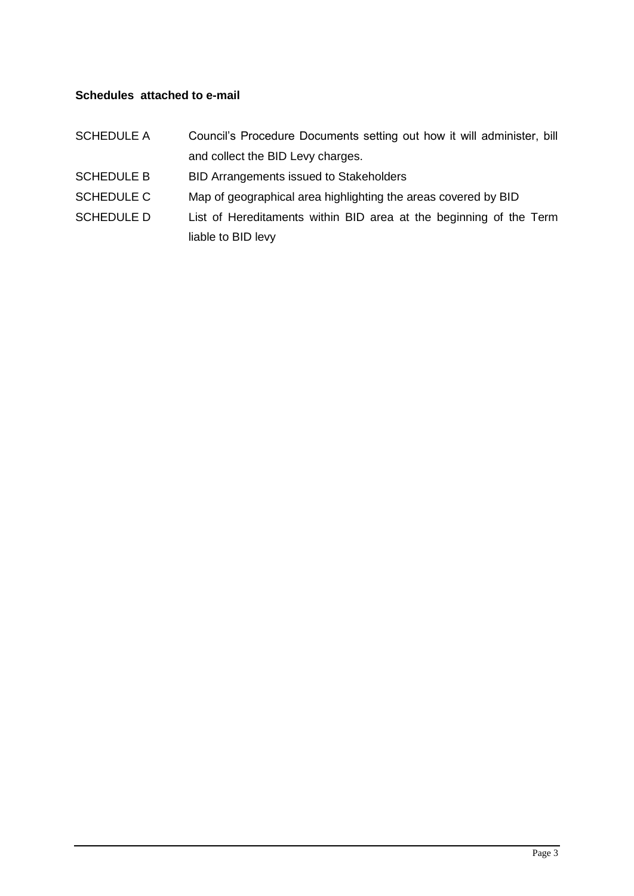# **Schedules attached to e-mail**

| <b>SCHEDULE A</b> | Council's Procedure Documents setting out how it will administer, bill |
|-------------------|------------------------------------------------------------------------|
|                   | and collect the BID Levy charges.                                      |
| <b>SCHEDULE B</b> | BID Arrangements issued to Stakeholders                                |
| <b>SCHEDULE C</b> | Map of geographical area highlighting the areas covered by BID         |
| <b>SCHEDULE D</b> | List of Hereditaments within BID area at the beginning of the Term     |
|                   | liable to BID levy                                                     |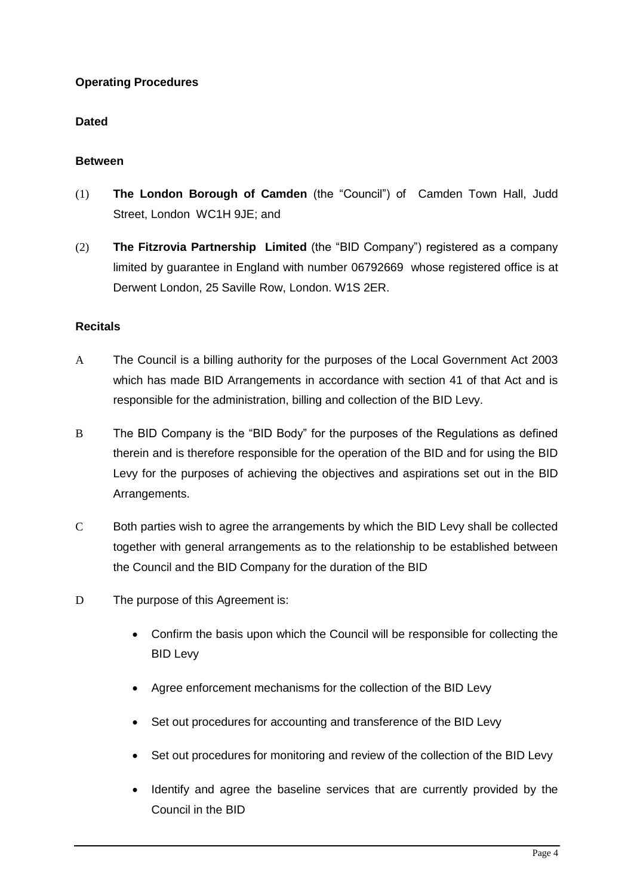# **Operating Procedures**

### **Dated**

### **Between**

- (1) **The London Borough of Camden** (the "Council") of Camden Town Hall, Judd Street, London WC1H 9JE; and
- (2) **The Fitzrovia Partnership Limited** (the "BID Company") registered as a company limited by guarantee in England with number 06792669 whose registered office is at Derwent London, 25 Saville Row, London. W1S 2ER.

#### **Recitals**

- A The Council is a billing authority for the purposes of the Local Government Act 2003 which has made BID Arrangements in accordance with section 41 of that Act and is responsible for the administration, billing and collection of the BID Levy.
- B The BID Company is the "BID Body" for the purposes of the Regulations as defined therein and is therefore responsible for the operation of the BID and for using the BID Levy for the purposes of achieving the objectives and aspirations set out in the BID Arrangements.
- C Both parties wish to agree the arrangements by which the BID Levy shall be collected together with general arrangements as to the relationship to be established between the Council and the BID Company for the duration of the BID
- D The purpose of this Agreement is:
	- Confirm the basis upon which the Council will be responsible for collecting the BID Levy
	- Agree enforcement mechanisms for the collection of the BID Levy
	- Set out procedures for accounting and transference of the BID Levy
	- Set out procedures for monitoring and review of the collection of the BID Levy
	- Identify and agree the baseline services that are currently provided by the Council in the BID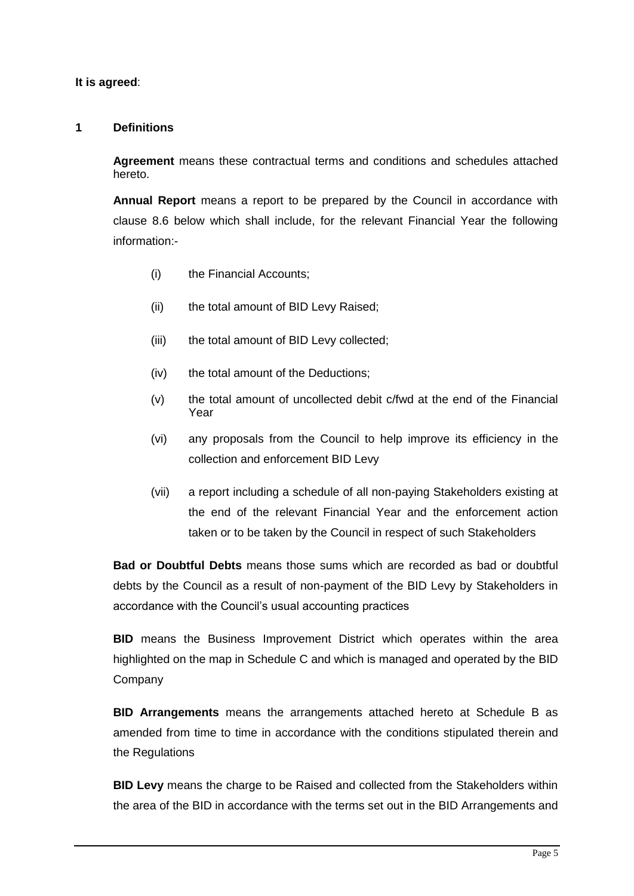### **It is agreed**:

### **1 Definitions**

**Agreement** means these contractual terms and conditions and schedules attached hereto.

**Annual Report** means a report to be prepared by the Council in accordance with clause 8.6 below which shall include, for the relevant Financial Year the following information:-

- (i) the Financial Accounts;
- (ii) the total amount of BID Levy Raised;
- (iii) the total amount of BID Levy collected;
- (iv) the total amount of the Deductions;
- (v) the total amount of uncollected debit c/fwd at the end of the Financial Year
- (vi) any proposals from the Council to help improve its efficiency in the collection and enforcement BID Levy
- (vii) a report including a schedule of all non-paying Stakeholders existing at the end of the relevant Financial Year and the enforcement action taken or to be taken by the Council in respect of such Stakeholders

**Bad or Doubtful Debts** means those sums which are recorded as bad or doubtful debts by the Council as a result of non-payment of the BID Levy by Stakeholders in accordance with the Council's usual accounting practices

**BID** means the Business Improvement District which operates within the area highlighted on the map in Schedule C and which is managed and operated by the BID Company

**BID Arrangements** means the arrangements attached hereto at Schedule B as amended from time to time in accordance with the conditions stipulated therein and the Regulations

**BID Levy** means the charge to be Raised and collected from the Stakeholders within the area of the BID in accordance with the terms set out in the BID Arrangements and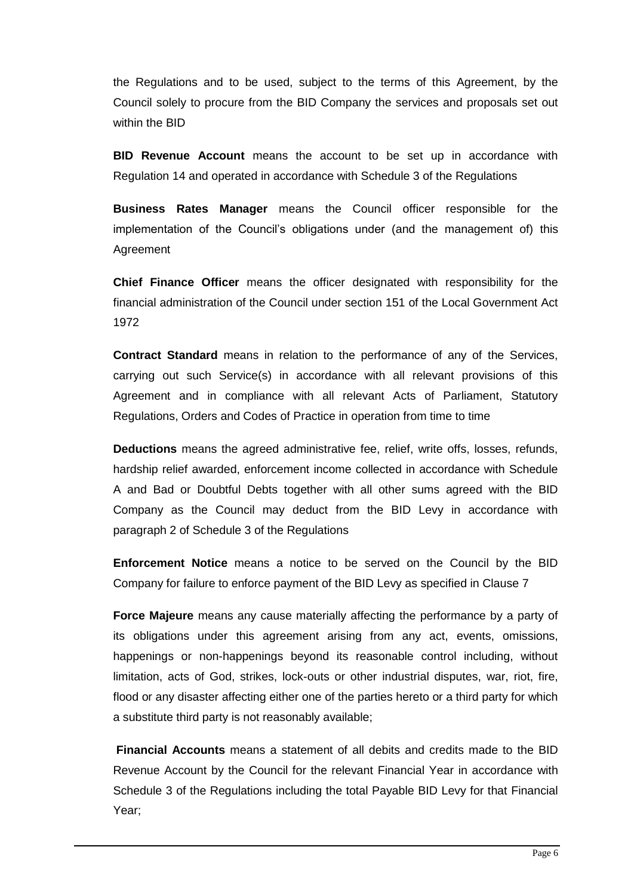the Regulations and to be used, subject to the terms of this Agreement, by the Council solely to procure from the BID Company the services and proposals set out within the BID

**BID Revenue Account** means the account to be set up in accordance with Regulation 14 and operated in accordance with Schedule 3 of the Regulations

**Business Rates Manager** means the Council officer responsible for the implementation of the Council's obligations under (and the management of) this Agreement

**Chief Finance Officer** means the officer designated with responsibility for the financial administration of the Council under section 151 of the Local Government Act 1972

**Contract Standard** means in relation to the performance of any of the Services, carrying out such Service(s) in accordance with all relevant provisions of this Agreement and in compliance with all relevant Acts of Parliament, Statutory Regulations, Orders and Codes of Practice in operation from time to time

**Deductions** means the agreed administrative fee, relief, write offs, losses, refunds, hardship relief awarded, enforcement income collected in accordance with Schedule A and Bad or Doubtful Debts together with all other sums agreed with the BID Company as the Council may deduct from the BID Levy in accordance with paragraph 2 of Schedule 3 of the Regulations

**Enforcement Notice** means a notice to be served on the Council by the BID Company for failure to enforce payment of the BID Levy as specified in Clause 7

**Force Majeure** means any cause materially affecting the performance by a party of its obligations under this agreement arising from any act, events, omissions, happenings or non-happenings beyond its reasonable control including, without limitation, acts of God, strikes, lock-outs or other industrial disputes, war, riot, fire, flood or any disaster affecting either one of the parties hereto or a third party for which a substitute third party is not reasonably available;

**Financial Accounts** means a statement of all debits and credits made to the BID Revenue Account by the Council for the relevant Financial Year in accordance with Schedule 3 of the Regulations including the total Payable BID Levy for that Financial Year;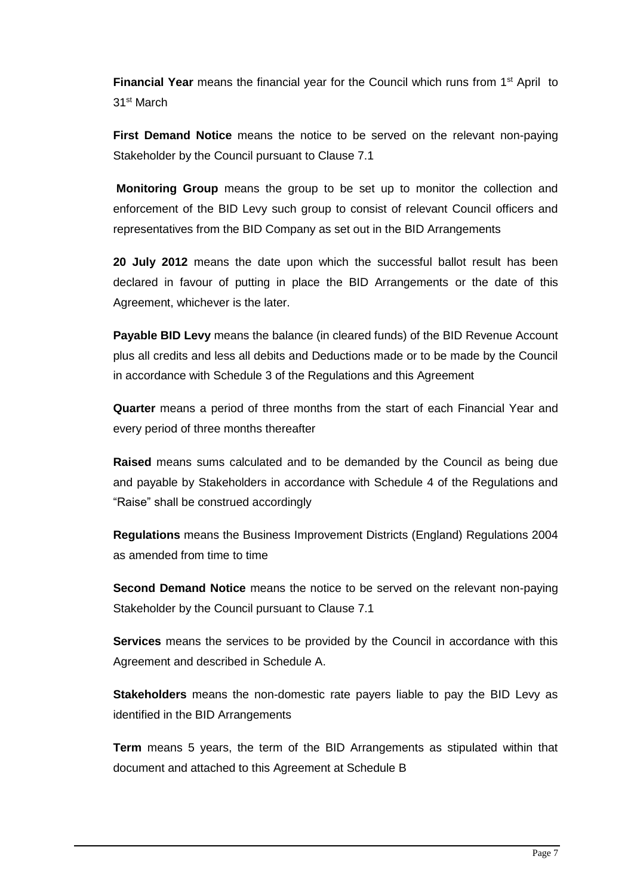**Financial Year** means the financial year for the Council which runs from 1<sup>st</sup> April to 31st March

**First Demand Notice** means the notice to be served on the relevant non-paying Stakeholder by the Council pursuant to Clause 7.1

**Monitoring Group** means the group to be set up to monitor the collection and enforcement of the BID Levy such group to consist of relevant Council officers and representatives from the BID Company as set out in the BID Arrangements

**20 July 2012** means the date upon which the successful ballot result has been declared in favour of putting in place the BID Arrangements or the date of this Agreement, whichever is the later.

**Payable BID Levy** means the balance (in cleared funds) of the BID Revenue Account plus all credits and less all debits and Deductions made or to be made by the Council in accordance with Schedule 3 of the Regulations and this Agreement

**Quarter** means a period of three months from the start of each Financial Year and every period of three months thereafter

**Raised** means sums calculated and to be demanded by the Council as being due and payable by Stakeholders in accordance with Schedule 4 of the Regulations and "Raise" shall be construed accordingly

**Regulations** means the Business Improvement Districts (England) Regulations 2004 as amended from time to time

**Second Demand Notice** means the notice to be served on the relevant non-paying Stakeholder by the Council pursuant to Clause 7.1

**Services** means the services to be provided by the Council in accordance with this Agreement and described in Schedule A.

**Stakeholders** means the non-domestic rate payers liable to pay the BID Levy as identified in the BID Arrangements

**Term** means 5 years, the term of the BID Arrangements as stipulated within that document and attached to this Agreement at Schedule B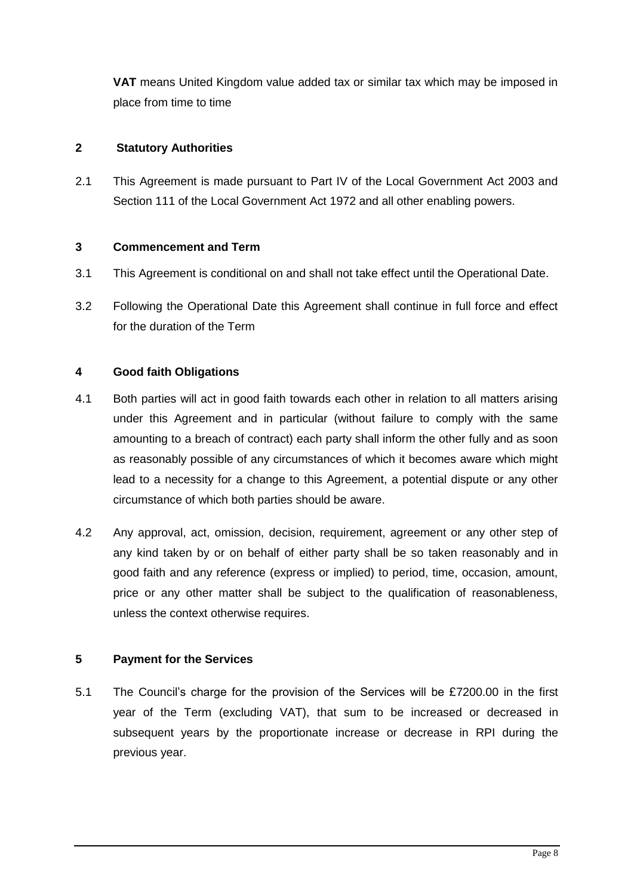**VAT** means United Kingdom value added tax or similar tax which may be imposed in place from time to time

# **2 Statutory Authorities**

2.1 This Agreement is made pursuant to Part IV of the Local Government Act 2003 and Section 111 of the Local Government Act 1972 and all other enabling powers.

# **3 Commencement and Term**

- 3.1 This Agreement is conditional on and shall not take effect until the Operational Date.
- 3.2 Following the Operational Date this Agreement shall continue in full force and effect for the duration of the Term

# **4 Good faith Obligations**

- 4.1 Both parties will act in good faith towards each other in relation to all matters arising under this Agreement and in particular (without failure to comply with the same amounting to a breach of contract) each party shall inform the other fully and as soon as reasonably possible of any circumstances of which it becomes aware which might lead to a necessity for a change to this Agreement, a potential dispute or any other circumstance of which both parties should be aware.
- 4.2 Any approval, act, omission, decision, requirement, agreement or any other step of any kind taken by or on behalf of either party shall be so taken reasonably and in good faith and any reference (express or implied) to period, time, occasion, amount, price or any other matter shall be subject to the qualification of reasonableness, unless the context otherwise requires.

# **5 Payment for the Services**

5.1 The Council's charge for the provision of the Services will be £7200.00 in the first year of the Term (excluding VAT), that sum to be increased or decreased in subsequent years by the proportionate increase or decrease in RPI during the previous year.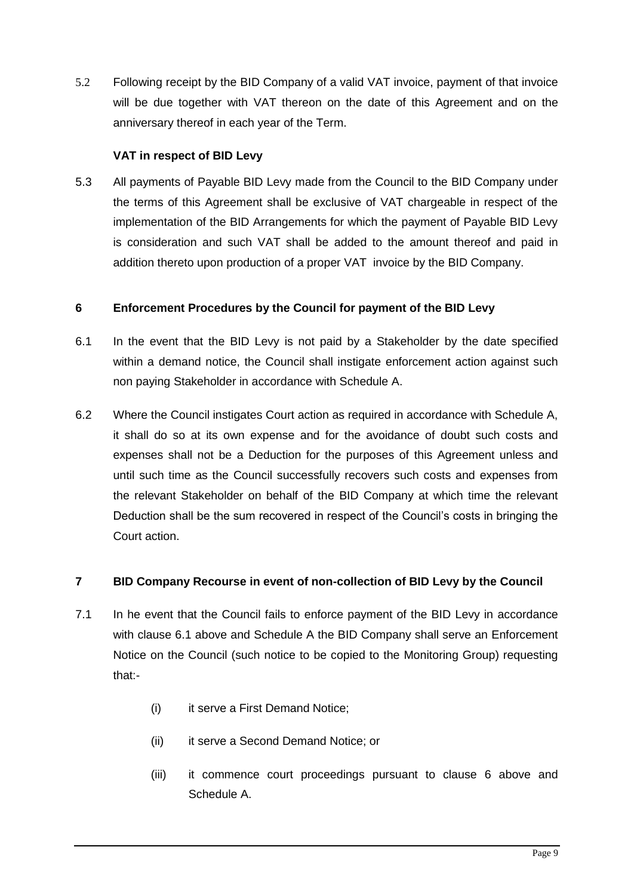5.2 Following receipt by the BID Company of a valid VAT invoice, payment of that invoice will be due together with VAT thereon on the date of this Agreement and on the anniversary thereof in each year of the Term.

# **VAT in respect of BID Levy**

5.3 All payments of Payable BID Levy made from the Council to the BID Company under the terms of this Agreement shall be exclusive of VAT chargeable in respect of the implementation of the BID Arrangements for which the payment of Payable BID Levy is consideration and such VAT shall be added to the amount thereof and paid in addition thereto upon production of a proper VAT invoice by the BID Company.

# **6 Enforcement Procedures by the Council for payment of the BID Levy**

- 6.1 In the event that the BID Levy is not paid by a Stakeholder by the date specified within a demand notice, the Council shall instigate enforcement action against such non paying Stakeholder in accordance with Schedule A.
- 6.2 Where the Council instigates Court action as required in accordance with Schedule A, it shall do so at its own expense and for the avoidance of doubt such costs and expenses shall not be a Deduction for the purposes of this Agreement unless and until such time as the Council successfully recovers such costs and expenses from the relevant Stakeholder on behalf of the BID Company at which time the relevant Deduction shall be the sum recovered in respect of the Council's costs in bringing the Court action.

# **7 BID Company Recourse in event of non-collection of BID Levy by the Council**

- 7.1 In he event that the Council fails to enforce payment of the BID Levy in accordance with clause 6.1 above and Schedule A the BID Company shall serve an Enforcement Notice on the Council (such notice to be copied to the Monitoring Group) requesting that:-
	- (i) it serve a First Demand Notice;
	- (ii) it serve a Second Demand Notice; or
	- (iii) it commence court proceedings pursuant to clause 6 above and Schedule A.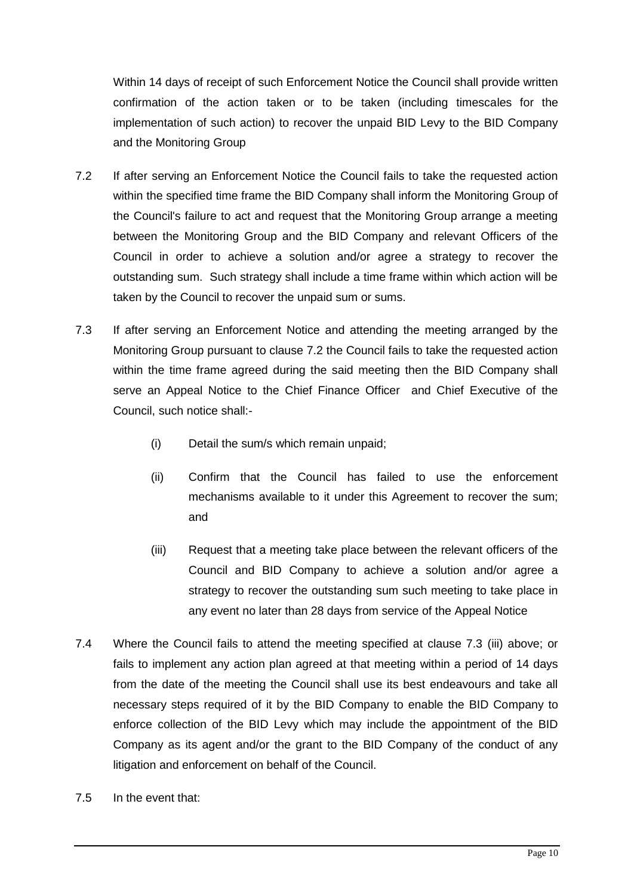Within 14 days of receipt of such Enforcement Notice the Council shall provide written confirmation of the action taken or to be taken (including timescales for the implementation of such action) to recover the unpaid BID Levy to the BID Company and the Monitoring Group

- 7.2 If after serving an Enforcement Notice the Council fails to take the requested action within the specified time frame the BID Company shall inform the Monitoring Group of the Council's failure to act and request that the Monitoring Group arrange a meeting between the Monitoring Group and the BID Company and relevant Officers of the Council in order to achieve a solution and/or agree a strategy to recover the outstanding sum. Such strategy shall include a time frame within which action will be taken by the Council to recover the unpaid sum or sums.
- 7.3 If after serving an Enforcement Notice and attending the meeting arranged by the Monitoring Group pursuant to clause 7.2 the Council fails to take the requested action within the time frame agreed during the said meeting then the BID Company shall serve an Appeal Notice to the Chief Finance Officer and Chief Executive of the Council, such notice shall:-
	- (i) Detail the sum/s which remain unpaid;
	- (ii) Confirm that the Council has failed to use the enforcement mechanisms available to it under this Agreement to recover the sum; and
	- (iii) Request that a meeting take place between the relevant officers of the Council and BID Company to achieve a solution and/or agree a strategy to recover the outstanding sum such meeting to take place in any event no later than 28 days from service of the Appeal Notice
- 7.4 Where the Council fails to attend the meeting specified at clause 7.3 (iii) above; or fails to implement any action plan agreed at that meeting within a period of 14 days from the date of the meeting the Council shall use its best endeavours and take all necessary steps required of it by the BID Company to enable the BID Company to enforce collection of the BID Levy which may include the appointment of the BID Company as its agent and/or the grant to the BID Company of the conduct of any litigation and enforcement on behalf of the Council.
- 7.5 In the event that: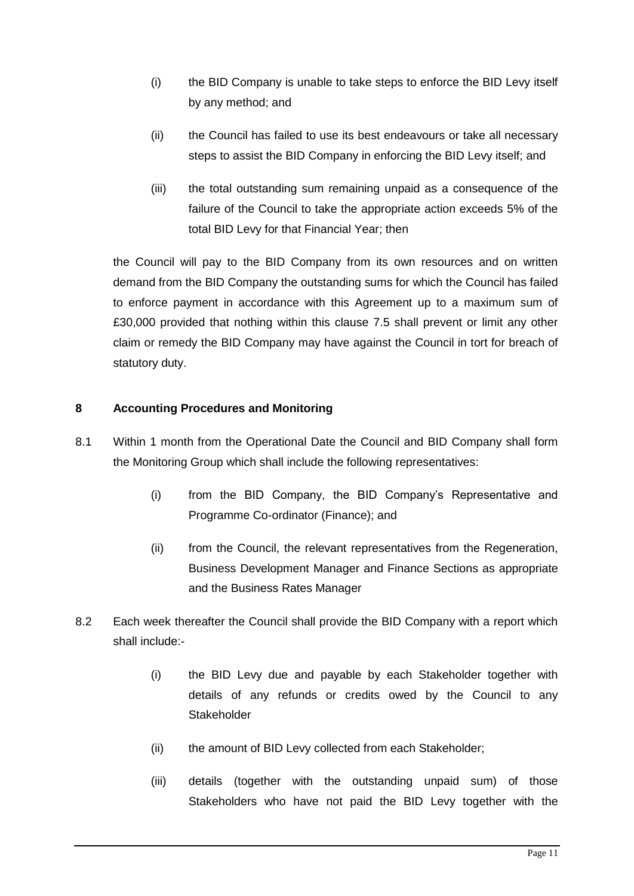- (i) the BID Company is unable to take steps to enforce the BID Levy itself by any method; and
- (ii) the Council has failed to use its best endeavours or take all necessary steps to assist the BID Company in enforcing the BID Levy itself; and
- (iii) the total outstanding sum remaining unpaid as a consequence of the failure of the Council to take the appropriate action exceeds 5% of the total BID Levy for that Financial Year; then

the Council will pay to the BID Company from its own resources and on written demand from the BID Company the outstanding sums for which the Council has failed to enforce payment in accordance with this Agreement up to a maximum sum of £30,000 provided that nothing within this clause 7.5 shall prevent or limit any other claim or remedy the BID Company may have against the Council in tort for breach of statutory duty.

# **8 Accounting Procedures and Monitoring**

- 8.1 Within 1 month from the Operational Date the Council and BID Company shall form the Monitoring Group which shall include the following representatives:
	- (i) from the BID Company, the BID Company's Representative and Programme Co-ordinator (Finance); and
	- (ii) from the Council, the relevant representatives from the Regeneration, Business Development Manager and Finance Sections as appropriate and the Business Rates Manager
- 8.2 Each week thereafter the Council shall provide the BID Company with a report which shall include:-
	- (i) the BID Levy due and payable by each Stakeholder together with details of any refunds or credits owed by the Council to any **Stakeholder**
	- (ii) the amount of BID Levy collected from each Stakeholder;
	- (iii) details (together with the outstanding unpaid sum) of those Stakeholders who have not paid the BID Levy together with the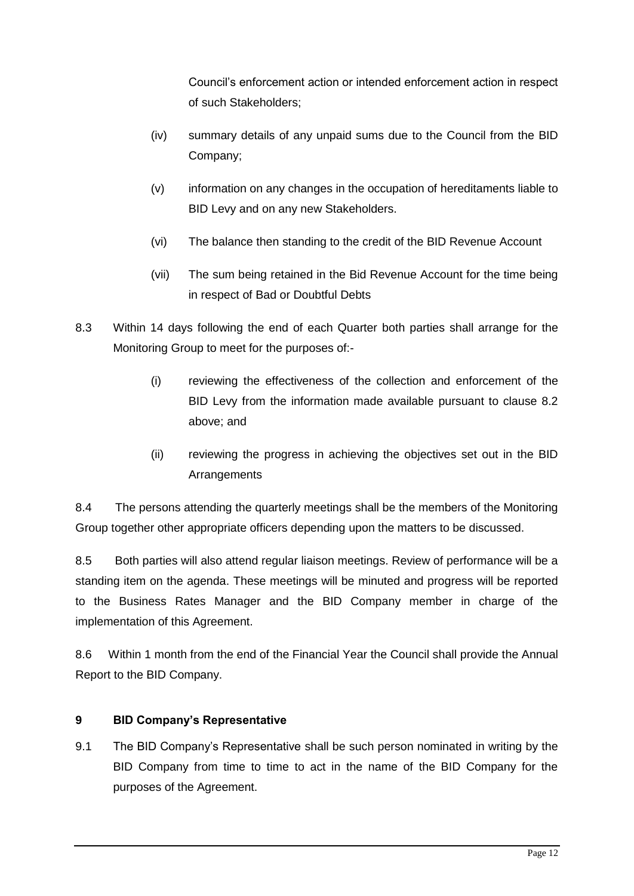Council's enforcement action or intended enforcement action in respect of such Stakeholders;

- (iv) summary details of any unpaid sums due to the Council from the BID Company;
- (v) information on any changes in the occupation of hereditaments liable to BID Levy and on any new Stakeholders.
- (vi) The balance then standing to the credit of the BID Revenue Account
- (vii) The sum being retained in the Bid Revenue Account for the time being in respect of Bad or Doubtful Debts
- 8.3 Within 14 days following the end of each Quarter both parties shall arrange for the Monitoring Group to meet for the purposes of:-
	- (i) reviewing the effectiveness of the collection and enforcement of the BID Levy from the information made available pursuant to clause 8.2 above; and
	- (ii) reviewing the progress in achieving the objectives set out in the BID **Arrangements**

8.4 The persons attending the quarterly meetings shall be the members of the Monitoring Group together other appropriate officers depending upon the matters to be discussed.

8.5 Both parties will also attend regular liaison meetings. Review of performance will be a standing item on the agenda. These meetings will be minuted and progress will be reported to the Business Rates Manager and the BID Company member in charge of the implementation of this Agreement.

8.6 Within 1 month from the end of the Financial Year the Council shall provide the Annual Report to the BID Company.

# **9 BID Company's Representative**

9.1 The BID Company's Representative shall be such person nominated in writing by the BID Company from time to time to act in the name of the BID Company for the purposes of the Agreement.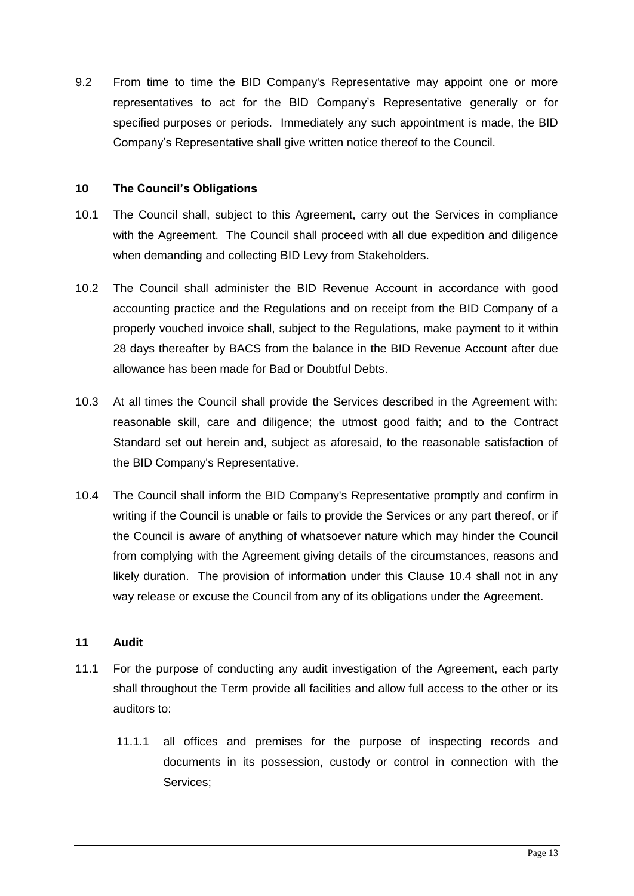9.2 From time to time the BID Company's Representative may appoint one or more representatives to act for the BID Company's Representative generally or for specified purposes or periods. Immediately any such appointment is made, the BID Company's Representative shall give written notice thereof to the Council.

### **10 The Council's Obligations**

- 10.1 The Council shall, subject to this Agreement, carry out the Services in compliance with the Agreement. The Council shall proceed with all due expedition and diligence when demanding and collecting BID Levy from Stakeholders.
- 10.2 The Council shall administer the BID Revenue Account in accordance with good accounting practice and the Regulations and on receipt from the BID Company of a properly vouched invoice shall, subject to the Regulations, make payment to it within 28 days thereafter by BACS from the balance in the BID Revenue Account after due allowance has been made for Bad or Doubtful Debts.
- 10.3 At all times the Council shall provide the Services described in the Agreement with: reasonable skill, care and diligence; the utmost good faith; and to the Contract Standard set out herein and, subject as aforesaid, to the reasonable satisfaction of the BID Company's Representative.
- 10.4 The Council shall inform the BID Company's Representative promptly and confirm in writing if the Council is unable or fails to provide the Services or any part thereof, or if the Council is aware of anything of whatsoever nature which may hinder the Council from complying with the Agreement giving details of the circumstances, reasons and likely duration. The provision of information under this Clause 10.4 shall not in any way release or excuse the Council from any of its obligations under the Agreement.

# **11 Audit**

- 11.1 For the purpose of conducting any audit investigation of the Agreement, each party shall throughout the Term provide all facilities and allow full access to the other or its auditors to:
	- 11.1.1 all offices and premises for the purpose of inspecting records and documents in its possession, custody or control in connection with the Services;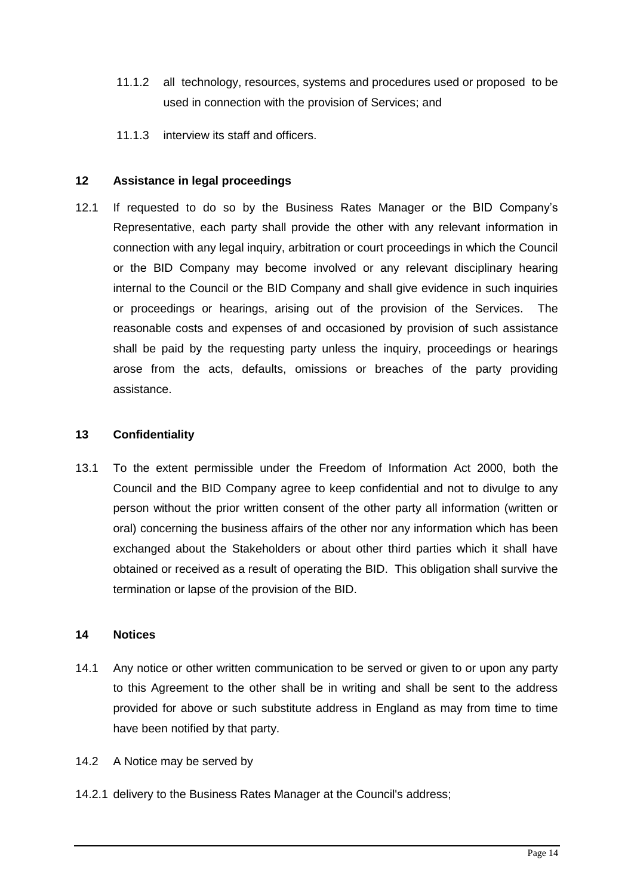- 11.1.2 all technology, resources, systems and procedures used or proposed to be used in connection with the provision of Services; and
- 11.1.3 interview its staff and officers.

### **12 Assistance in legal proceedings**

12.1 If requested to do so by the Business Rates Manager or the BID Company's Representative, each party shall provide the other with any relevant information in connection with any legal inquiry, arbitration or court proceedings in which the Council or the BID Company may become involved or any relevant disciplinary hearing internal to the Council or the BID Company and shall give evidence in such inquiries or proceedings or hearings, arising out of the provision of the Services. The reasonable costs and expenses of and occasioned by provision of such assistance shall be paid by the requesting party unless the inquiry, proceedings or hearings arose from the acts, defaults, omissions or breaches of the party providing assistance.

#### **13 Confidentiality**

13.1 To the extent permissible under the Freedom of Information Act 2000, both the Council and the BID Company agree to keep confidential and not to divulge to any person without the prior written consent of the other party all information (written or oral) concerning the business affairs of the other nor any information which has been exchanged about the Stakeholders or about other third parties which it shall have obtained or received as a result of operating the BID. This obligation shall survive the termination or lapse of the provision of the BID.

### **14 Notices**

- 14.1 Any notice or other written communication to be served or given to or upon any party to this Agreement to the other shall be in writing and shall be sent to the address provided for above or such substitute address in England as may from time to time have been notified by that party.
- 14.2 A Notice may be served by
- 14.2.1 delivery to the Business Rates Manager at the Council's address;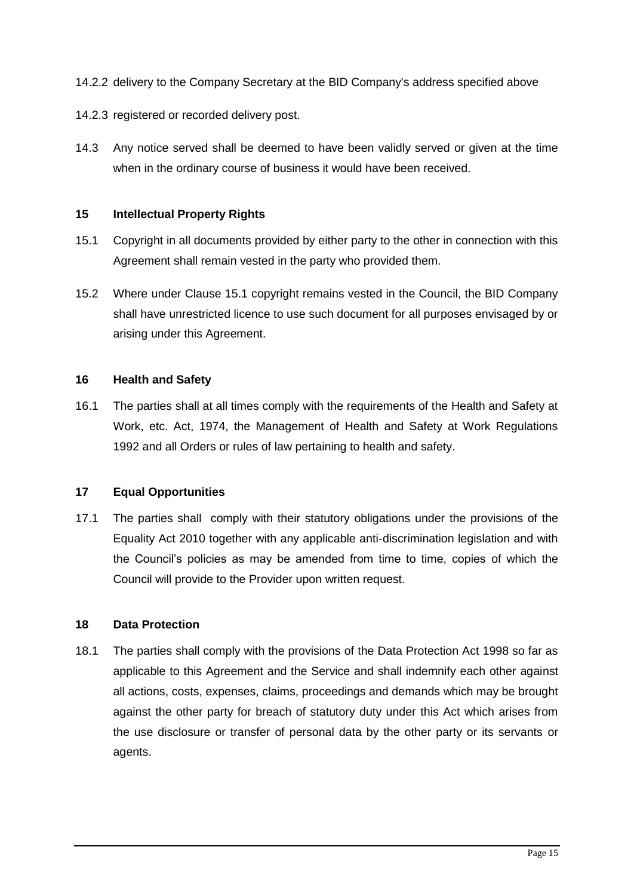- 14.2.2 delivery to the Company Secretary at the BID Company's address specified above
- 14.2.3 registered or recorded delivery post.
- 14.3 Any notice served shall be deemed to have been validly served or given at the time when in the ordinary course of business it would have been received.

#### **15 Intellectual Property Rights**

- 15.1 Copyright in all documents provided by either party to the other in connection with this Agreement shall remain vested in the party who provided them.
- 15.2 Where under Clause 15.1 copyright remains vested in the Council, the BID Company shall have unrestricted licence to use such document for all purposes envisaged by or arising under this Agreement.

#### **16 Health and Safety**

16.1 The parties shall at all times comply with the requirements of the Health and Safety at Work, etc. Act, 1974, the Management of Health and Safety at Work Regulations 1992 and all Orders or rules of law pertaining to health and safety.

#### **17 Equal Opportunities**

17.1 The parties shall comply with their statutory obligations under the provisions of the Equality Act 2010 together with any applicable anti-discrimination legislation and with the Council's policies as may be amended from time to time, copies of which the Council will provide to the Provider upon written request.

#### **18 Data Protection**

18.1 The parties shall comply with the provisions of the Data Protection Act 1998 so far as applicable to this Agreement and the Service and shall indemnify each other against all actions, costs, expenses, claims, proceedings and demands which may be brought against the other party for breach of statutory duty under this Act which arises from the use disclosure or transfer of personal data by the other party or its servants or agents.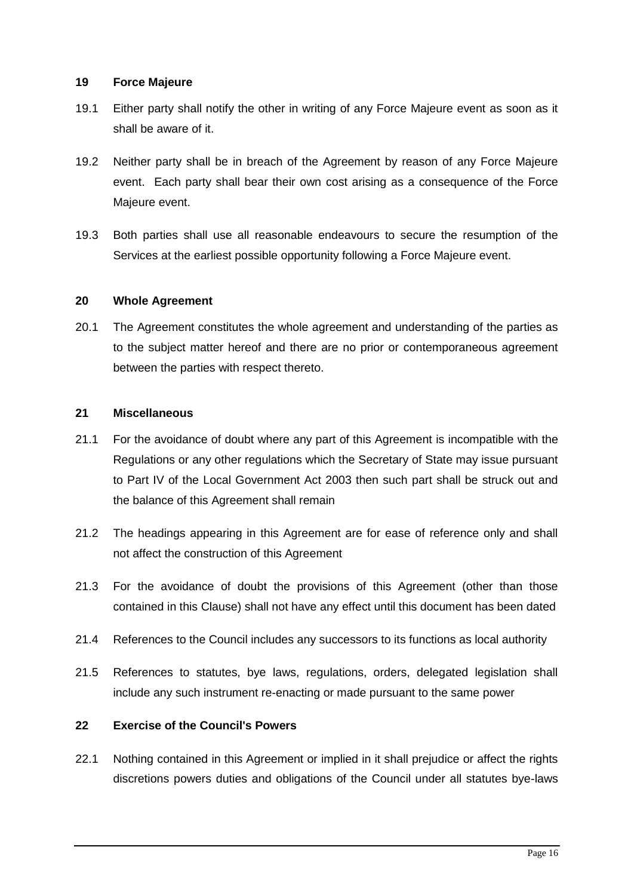#### **19 Force Majeure**

- 19.1 Either party shall notify the other in writing of any Force Majeure event as soon as it shall be aware of it.
- 19.2 Neither party shall be in breach of the Agreement by reason of any Force Majeure event. Each party shall bear their own cost arising as a consequence of the Force Majeure event.
- 19.3 Both parties shall use all reasonable endeavours to secure the resumption of the Services at the earliest possible opportunity following a Force Majeure event.

### **20 Whole Agreement**

20.1 The Agreement constitutes the whole agreement and understanding of the parties as to the subject matter hereof and there are no prior or contemporaneous agreement between the parties with respect thereto.

### **21 Miscellaneous**

- 21.1 For the avoidance of doubt where any part of this Agreement is incompatible with the Regulations or any other regulations which the Secretary of State may issue pursuant to Part IV of the Local Government Act 2003 then such part shall be struck out and the balance of this Agreement shall remain
- 21.2 The headings appearing in this Agreement are for ease of reference only and shall not affect the construction of this Agreement
- 21.3 For the avoidance of doubt the provisions of this Agreement (other than those contained in this Clause) shall not have any effect until this document has been dated
- 21.4 References to the Council includes any successors to its functions as local authority
- 21.5 References to statutes, bye laws, regulations, orders, delegated legislation shall include any such instrument re-enacting or made pursuant to the same power

# **22 Exercise of the Council's Powers**

22.1 Nothing contained in this Agreement or implied in it shall prejudice or affect the rights discretions powers duties and obligations of the Council under all statutes bye-laws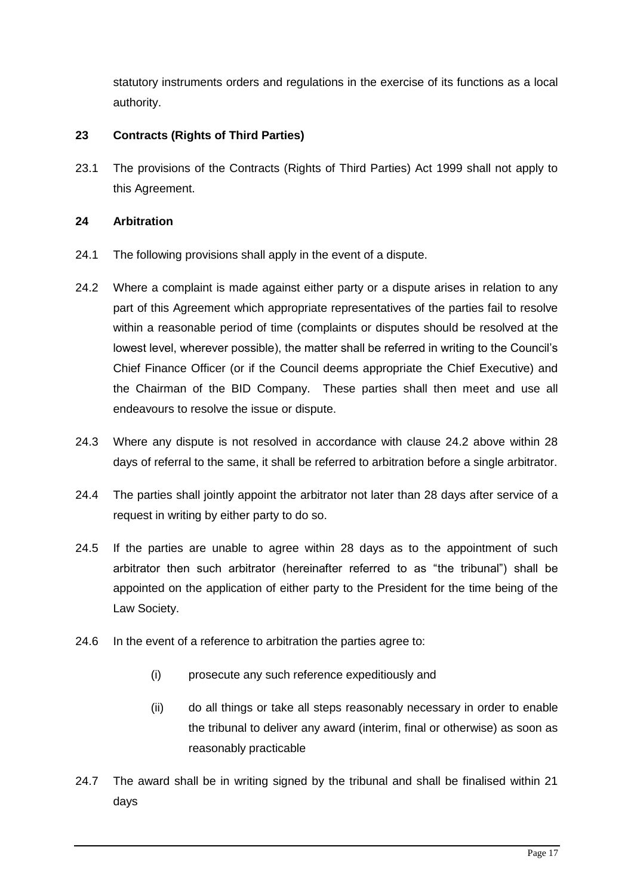statutory instruments orders and regulations in the exercise of its functions as a local authority.

# **23 Contracts (Rights of Third Parties)**

23.1 The provisions of the Contracts (Rights of Third Parties) Act 1999 shall not apply to this Agreement.

# **24 Arbitration**

- 24.1 The following provisions shall apply in the event of a dispute.
- 24.2 Where a complaint is made against either party or a dispute arises in relation to any part of this Agreement which appropriate representatives of the parties fail to resolve within a reasonable period of time (complaints or disputes should be resolved at the lowest level, wherever possible), the matter shall be referred in writing to the Council's Chief Finance Officer (or if the Council deems appropriate the Chief Executive) and the Chairman of the BID Company. These parties shall then meet and use all endeavours to resolve the issue or dispute.
- 24.3 Where any dispute is not resolved in accordance with clause 24.2 above within 28 days of referral to the same, it shall be referred to arbitration before a single arbitrator.
- 24.4 The parties shall jointly appoint the arbitrator not later than 28 days after service of a request in writing by either party to do so.
- 24.5 If the parties are unable to agree within 28 days as to the appointment of such arbitrator then such arbitrator (hereinafter referred to as "the tribunal") shall be appointed on the application of either party to the President for the time being of the Law Society.
- 24.6 In the event of a reference to arbitration the parties agree to:
	- (i) prosecute any such reference expeditiously and
	- (ii) do all things or take all steps reasonably necessary in order to enable the tribunal to deliver any award (interim, final or otherwise) as soon as reasonably practicable
- 24.7 The award shall be in writing signed by the tribunal and shall be finalised within 21 days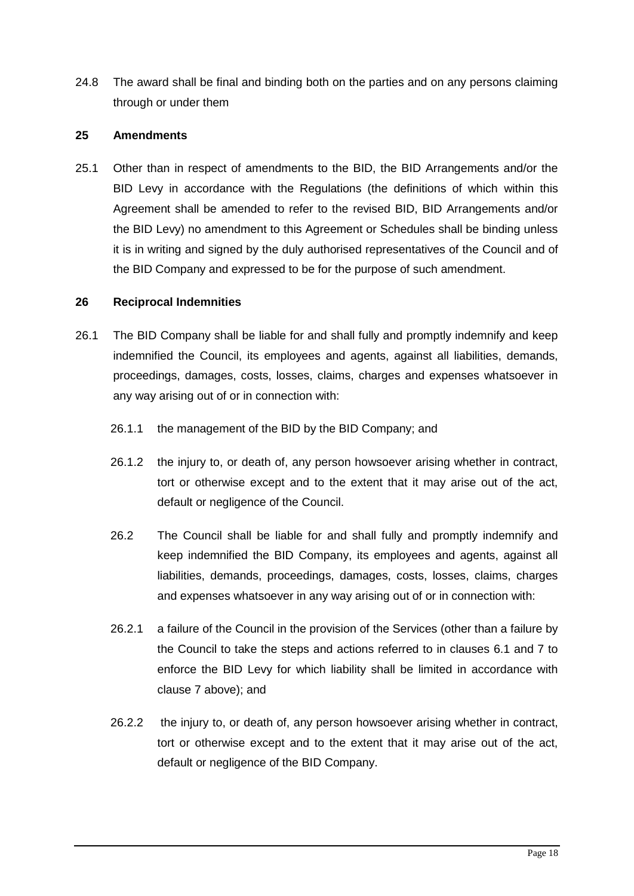24.8 The award shall be final and binding both on the parties and on any persons claiming through or under them

### **25 Amendments**

25.1 Other than in respect of amendments to the BID, the BID Arrangements and/or the BID Levy in accordance with the Regulations (the definitions of which within this Agreement shall be amended to refer to the revised BID, BID Arrangements and/or the BID Levy) no amendment to this Agreement or Schedules shall be binding unless it is in writing and signed by the duly authorised representatives of the Council and of the BID Company and expressed to be for the purpose of such amendment.

### **26 Reciprocal Indemnities**

- 26.1 The BID Company shall be liable for and shall fully and promptly indemnify and keep indemnified the Council, its employees and agents, against all liabilities, demands, proceedings, damages, costs, losses, claims, charges and expenses whatsoever in any way arising out of or in connection with:
	- 26.1.1 the management of the BID by the BID Company; and
	- 26.1.2 the injury to, or death of, any person howsoever arising whether in contract, tort or otherwise except and to the extent that it may arise out of the act, default or negligence of the Council.
	- 26.2 The Council shall be liable for and shall fully and promptly indemnify and keep indemnified the BID Company, its employees and agents, against all liabilities, demands, proceedings, damages, costs, losses, claims, charges and expenses whatsoever in any way arising out of or in connection with:
	- 26.2.1 a failure of the Council in the provision of the Services (other than a failure by the Council to take the steps and actions referred to in clauses 6.1 and 7 to enforce the BID Levy for which liability shall be limited in accordance with clause 7 above); and
	- 26.2.2 the injury to, or death of, any person howsoever arising whether in contract, tort or otherwise except and to the extent that it may arise out of the act, default or negligence of the BID Company.